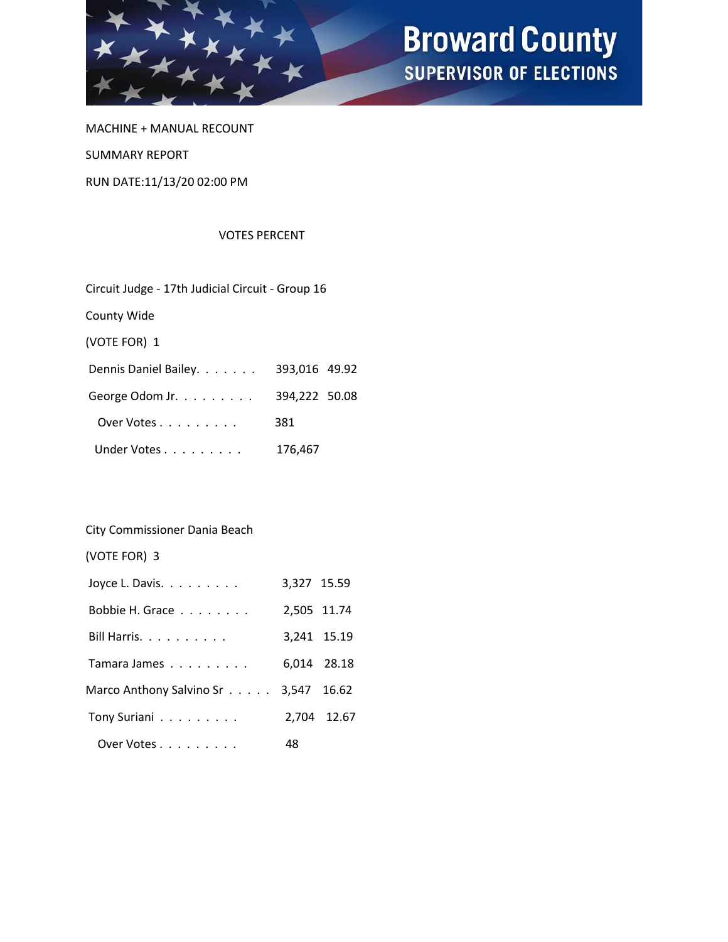

MACHINE + MANUAL RECOUNT SUMMARY REPORT RUN DATE:11/13/20 02:00 PM

#### VOTES PERCENT

| Circuit Judge - 17th Judicial Circuit - Group 16 |               |  |  |  |  |  |
|--------------------------------------------------|---------------|--|--|--|--|--|
| County Wide                                      |               |  |  |  |  |  |
| (VOTE FOR) 1                                     |               |  |  |  |  |  |
| Dennis Daniel Bailey.                            | 393,016 49.92 |  |  |  |  |  |
| George Odom Jr.                                  | 394,222 50.08 |  |  |  |  |  |
| Over Votes                                       | 381           |  |  |  |  |  |
| Under Votes                                      | 176,467       |  |  |  |  |  |

### City Commissioner Dania Beach

(VOTE FOR) 3

| Joyce L. Davis.                      | 3,327 15.59 |             |
|--------------------------------------|-------------|-------------|
| Bobbie H. Grace                      | 2,505 11.74 |             |
| Bill Harris.                         |             | 3,241 15.19 |
| Tamara James                         |             | 6,014 28.18 |
| Marco Anthony Salvino Sr 3,547 16.62 |             |             |
| Tony Suriani                         |             | 2,704 12.67 |
| Over Votes                           | 48          |             |